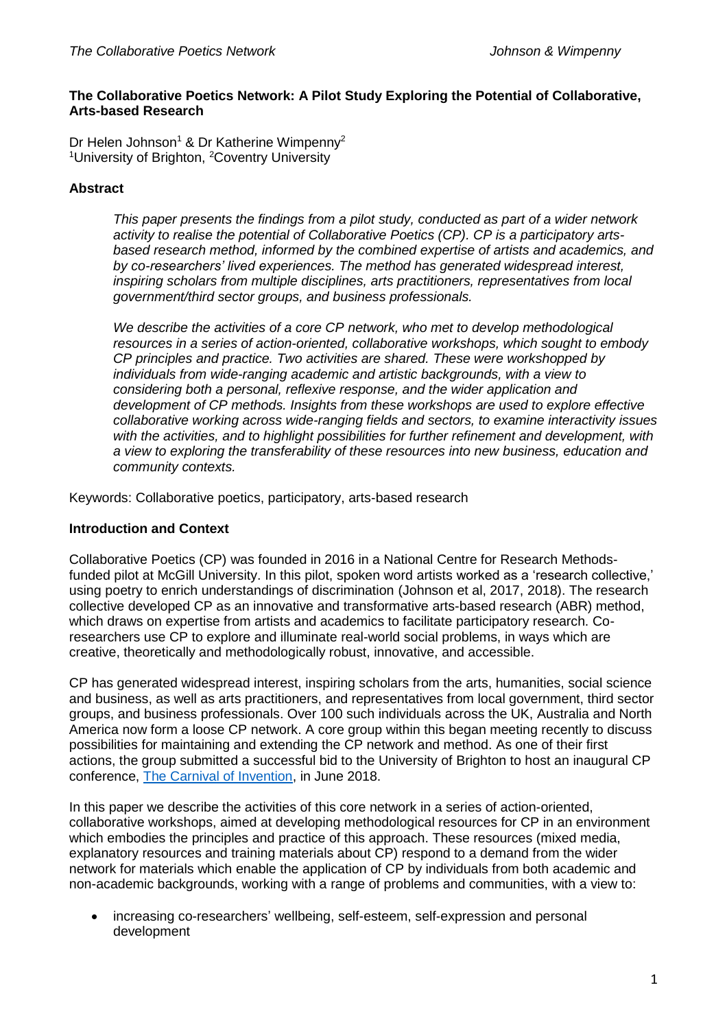### **The Collaborative Poetics Network: A Pilot Study Exploring the Potential of Collaborative, Arts-based Research**

Dr Helen Johnson<sup>1</sup> & Dr Katherine Wimpenny<sup>2</sup> <sup>1</sup>University of Brighton, <sup>2</sup>Coventry University

## **Abstract**

*This paper presents the findings from a pilot study, conducted as part of a wider network activity to realise the potential of Collaborative Poetics (CP). CP is a participatory artsbased research method, informed by the combined expertise of artists and academics, and by co-researchers' lived experiences. The method has generated widespread interest, inspiring scholars from multiple disciplines, arts practitioners, representatives from local government/third sector groups, and business professionals.* 

*We describe the activities of a core CP network, who met to develop methodological resources in a series of action-oriented, collaborative workshops, which sought to embody CP principles and practice. Two activities are shared. These were workshopped by individuals from wide-ranging academic and artistic backgrounds, with a view to considering both a personal, reflexive response, and the wider application and development of CP methods. Insights from these workshops are used to explore effective collaborative working across wide-ranging fields and sectors, to examine interactivity issues with the activities, and to highlight possibilities for further refinement and development, with a view to exploring the transferability of these resources into new business, education and community contexts.* 

Keywords: Collaborative poetics, participatory, arts-based research

### **Introduction and Context**

Collaborative Poetics (CP) was founded in 2016 in a National Centre for Research Methodsfunded pilot at McGill University. In this pilot, spoken word artists worked as a 'research collective,' using poetry to enrich understandings of discrimination (Johnson et al, 2017, 2018). The research collective developed CP as an innovative and transformative arts-based research (ABR) method, which draws on expertise from artists and academics to facilitate participatory research. Coresearchers use CP to explore and illuminate real-world social problems, in ways which are creative, theoretically and methodologically robust, innovative, and accessible.

CP has generated widespread interest, inspiring scholars from the arts, humanities, social science and business, as well as arts practitioners, and representatives from local government, third sector groups, and business professionals. Over 100 such individuals across the UK, Australia and North America now form a loose CP network. A core group within this began meeting recently to discuss possibilities for maintaining and extending the CP network and method. As one of their first actions, the group submitted a successful bid to the University of Brighton to host an inaugural CP conference, [The Carnival of Invention,](https://blogs.brighton.ac.uk/carnivalofinvention/) in June 2018.

In this paper we describe the activities of this core network in a series of action-oriented, collaborative workshops, aimed at developing methodological resources for CP in an environment which embodies the principles and practice of this approach. These resources (mixed media, explanatory resources and training materials about CP) respond to a demand from the wider network for materials which enable the application of CP by individuals from both academic and non-academic backgrounds, working with a range of problems and communities, with a view to:

 increasing co-researchers' wellbeing, self-esteem, self-expression and personal development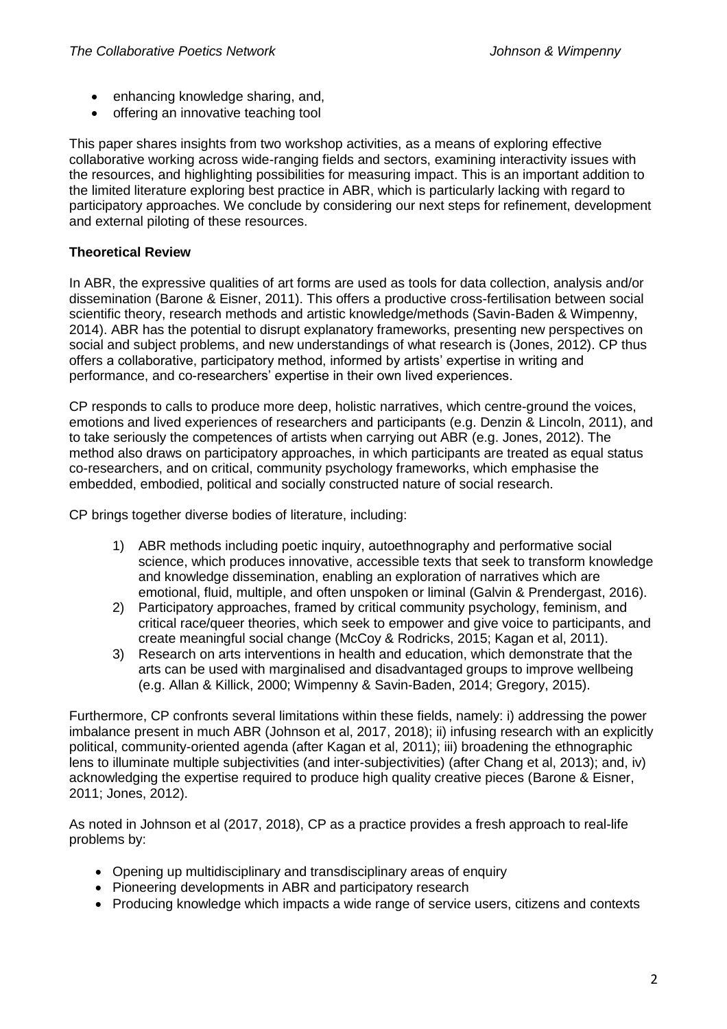- enhancing knowledge sharing, and,
- offering an innovative teaching tool

This paper shares insights from two workshop activities, as a means of exploring effective collaborative working across wide-ranging fields and sectors, examining interactivity issues with the resources, and highlighting possibilities for measuring impact. This is an important addition to the limited literature exploring best practice in ABR, which is particularly lacking with regard to participatory approaches. We conclude by considering our next steps for refinement, development and external piloting of these resources.

# **Theoretical Review**

In ABR, the expressive qualities of art forms are used as tools for data collection, analysis and/or dissemination (Barone & Eisner, 2011). This offers a productive cross-fertilisation between social scientific theory, research methods and artistic knowledge/methods (Savin-Baden & Wimpenny, 2014). ABR has the potential to disrupt explanatory frameworks, presenting new perspectives on social and subject problems, and new understandings of what research is (Jones, 2012). CP thus offers a collaborative, participatory method, informed by artists' expertise in writing and performance, and co-researchers' expertise in their own lived experiences.

CP responds to calls to produce more deep, holistic narratives, which centre-ground the voices, emotions and lived experiences of researchers and participants (e.g. Denzin & Lincoln, 2011), and to take seriously the competences of artists when carrying out ABR (e.g. Jones, 2012). The method also draws on participatory approaches, in which participants are treated as equal status co-researchers, and on critical, community psychology frameworks, which emphasise the embedded, embodied, political and socially constructed nature of social research.

CP brings together diverse bodies of literature, including:

- 1) ABR methods including poetic inquiry, autoethnography and performative social science, which produces innovative, accessible texts that seek to transform knowledge and knowledge dissemination, enabling an exploration of narratives which are emotional, fluid, multiple, and often unspoken or liminal (Galvin & Prendergast, 2016).
- 2) Participatory approaches, framed by critical community psychology, feminism, and critical race/queer theories, which seek to empower and give voice to participants, and create meaningful social change (McCoy & Rodricks, 2015; Kagan et al, 2011).
- 3) Research on arts interventions in health and education, which demonstrate that the arts can be used with marginalised and disadvantaged groups to improve wellbeing (e.g. Allan & Killick, 2000; Wimpenny & Savin-Baden, 2014; Gregory, 2015).

Furthermore, CP confronts several limitations within these fields, namely: i) addressing the power imbalance present in much ABR (Johnson et al, 2017, 2018); ii) infusing research with an explicitly political, community-oriented agenda (after Kagan et al, 2011); iii) broadening the ethnographic lens to illuminate multiple subjectivities (and inter-subjectivities) (after Chang et al, 2013); and, iv) acknowledging the expertise required to produce high quality creative pieces (Barone & Eisner, 2011; Jones, 2012).

As noted in Johnson et al (2017, 2018), CP as a practice provides a fresh approach to real-life problems by:

- Opening up multidisciplinary and transdisciplinary areas of enquiry
- Pioneering developments in ABR and participatory research
- Producing knowledge which impacts a wide range of service users, citizens and contexts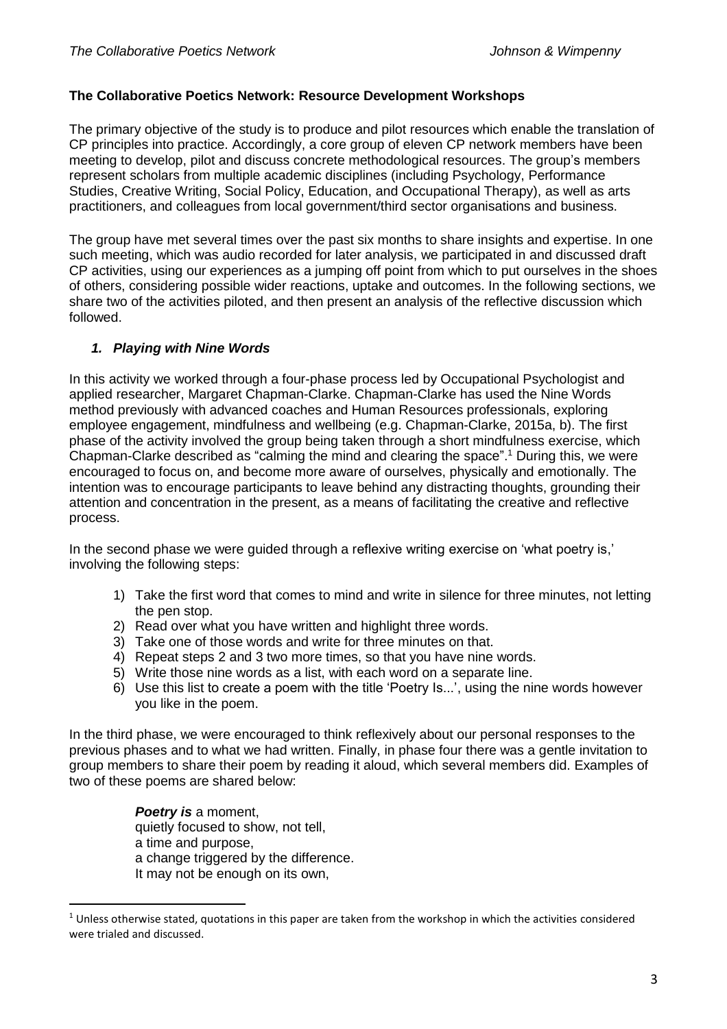### **The Collaborative Poetics Network: Resource Development Workshops**

The primary objective of the study is to produce and pilot resources which enable the translation of CP principles into practice. Accordingly, a core group of eleven CP network members have been meeting to develop, pilot and discuss concrete methodological resources. The group's members represent scholars from multiple academic disciplines (including Psychology, Performance Studies, Creative Writing, Social Policy, Education, and Occupational Therapy), as well as arts practitioners, and colleagues from local government/third sector organisations and business.

The group have met several times over the past six months to share insights and expertise. In one such meeting, which was audio recorded for later analysis, we participated in and discussed draft CP activities, using our experiences as a jumping off point from which to put ourselves in the shoes of others, considering possible wider reactions, uptake and outcomes. In the following sections, we share two of the activities piloted, and then present an analysis of the reflective discussion which followed.

### *1. Playing with Nine Words*

In this activity we worked through a four-phase process led by Occupational Psychologist and applied researcher, Margaret Chapman-Clarke. Chapman-Clarke has used the Nine Words method previously with advanced coaches and Human Resources professionals, exploring employee engagement, mindfulness and wellbeing (e.g. Chapman-Clarke, 2015a, b). The first phase of the activity involved the group being taken through a short mindfulness exercise, which Chapman-Clarke described as "calming the mind and clearing the space". <sup>1</sup> During this, we were encouraged to focus on, and become more aware of ourselves, physically and emotionally. The intention was to encourage participants to leave behind any distracting thoughts, grounding their attention and concentration in the present, as a means of facilitating the creative and reflective process.

In the second phase we were guided through a reflexive writing exercise on 'what poetry is,' involving the following steps:

- 1) Take the first word that comes to mind and write in silence for three minutes, not letting the pen stop.
- 2) Read over what you have written and highlight three words.
- 3) Take one of those words and write for three minutes on that.
- 4) Repeat steps 2 and 3 two more times, so that you have nine words.
- 5) Write those nine words as a list, with each word on a separate line.
- 6) Use this list to create a poem with the title 'Poetry Is...', using the nine words however you like in the poem.

In the third phase, we were encouraged to think reflexively about our personal responses to the previous phases and to what we had written. Finally, in phase four there was a gentle invitation to group members to share their poem by reading it aloud, which several members did. Examples of two of these poems are shared below:

> *Poetry is* a moment, quietly focused to show, not tell, a time and purpose, a change triggered by the difference. It may not be enough on its own,

 $\overline{a}$ 

 $1$  Unless otherwise stated, quotations in this paper are taken from the workshop in which the activities considered were trialed and discussed.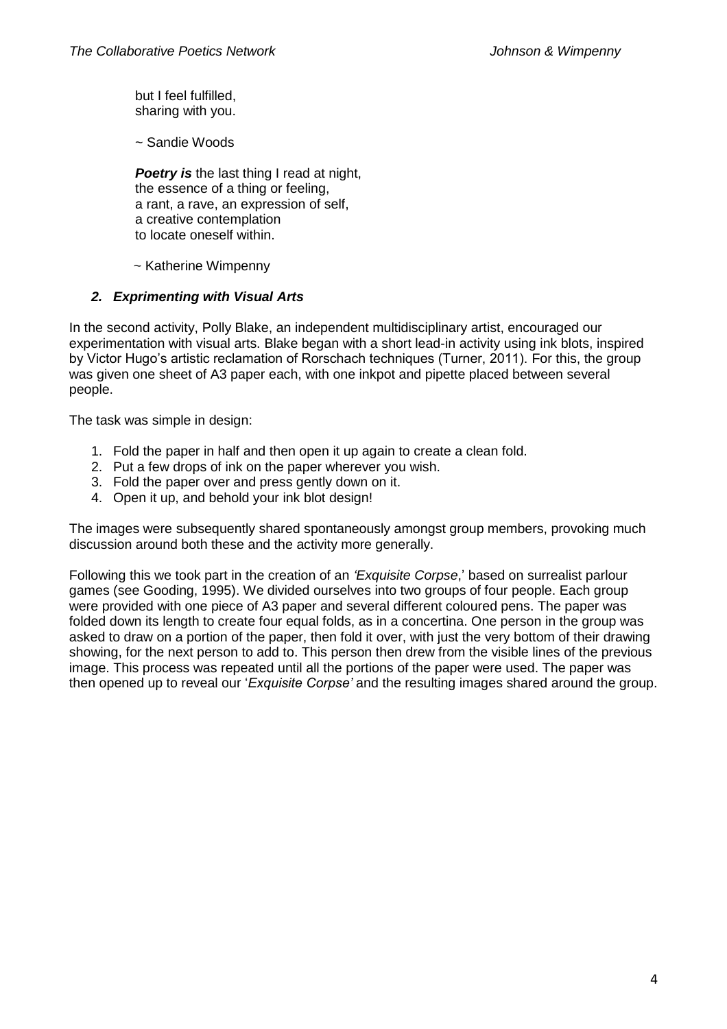but I feel fulfilled, sharing with you.

~ Sandie Woods

**Poetry is** the last thing I read at night, the essence of a thing or feeling, a rant, a rave, an expression of self, a creative contemplation to locate oneself within.

~ Katherine Wimpenny

# *2. Exprimenting with Visual Arts*

In the second activity, Polly Blake, an independent multidisciplinary artist, encouraged our experimentation with visual arts. Blake began with a short lead-in activity using ink blots, inspired by Victor Hugo's artistic reclamation of Rorschach techniques (Turner, 2011). For this, the group was given one sheet of A3 paper each, with one inkpot and pipette placed between several people.

The task was simple in design:

- 1. Fold the paper in half and then open it up again to create a clean fold.
- 2. Put a few drops of ink on the paper wherever you wish.
- 3. Fold the paper over and press gently down on it.
- 4. Open it up, and behold your ink blot design!

The images were subsequently shared spontaneously amongst group members, provoking much discussion around both these and the activity more generally.

Following this we took part in the creation of an *'Exquisite Corpse*,' based on surrealist parlour games (see Gooding, 1995). We divided ourselves into two groups of four people. Each group were provided with one piece of A3 paper and several different coloured pens. The paper was folded down its length to create four equal folds, as in a concertina. One person in the group was asked to draw on a portion of the paper, then fold it over, with just the very bottom of their drawing showing, for the next person to add to. This person then drew from the visible lines of the previous image. This process was repeated until all the portions of the paper were used. The paper was then opened up to reveal our '*Exquisite Corpse'* and the resulting images shared around the group.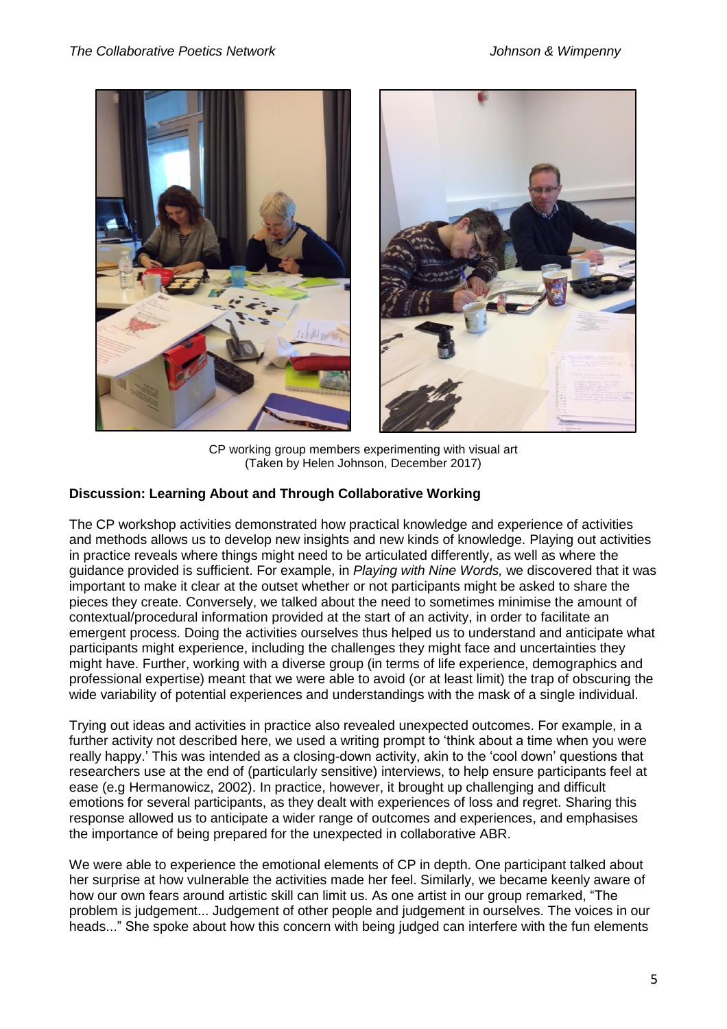

CP working group members experimenting with visual art (Taken by Helen Johnson, December 2017)

# **Discussion: Learning About and Through Collaborative Working**

The CP workshop activities demonstrated how practical knowledge and experience of activities and methods allows us to develop new insights and new kinds of knowledge. Playing out activities in practice reveals where things might need to be articulated differently, as well as where the guidance provided is sufficient. For example, in *Playing with Nine Words,* we discovered that it was important to make it clear at the outset whether or not participants might be asked to share the pieces they create. Conversely, we talked about the need to sometimes minimise the amount of contextual/procedural information provided at the start of an activity, in order to facilitate an emergent process. Doing the activities ourselves thus helped us to understand and anticipate what participants might experience, including the challenges they might face and uncertainties they might have. Further, working with a diverse group (in terms of life experience, demographics and professional expertise) meant that we were able to avoid (or at least limit) the trap of obscuring the wide variability of potential experiences and understandings with the mask of a single individual.

Trying out ideas and activities in practice also revealed unexpected outcomes. For example, in a further activity not described here, we used a writing prompt to 'think about a time when you were really happy.' This was intended as a closing-down activity, akin to the 'cool down' questions that researchers use at the end of (particularly sensitive) interviews, to help ensure participants feel at ease (e.g Hermanowicz, 2002). In practice, however, it brought up challenging and difficult emotions for several participants, as they dealt with experiences of loss and regret. Sharing this response allowed us to anticipate a wider range of outcomes and experiences, and emphasises the importance of being prepared for the unexpected in collaborative ABR.

We were able to experience the emotional elements of CP in depth. One participant talked about her surprise at how vulnerable the activities made her feel. Similarly, we became keenly aware of how our own fears around artistic skill can limit us. As one artist in our group remarked, "The problem is judgement... Judgement of other people and judgement in ourselves. The voices in our heads..." She spoke about how this concern with being judged can interfere with the fun elements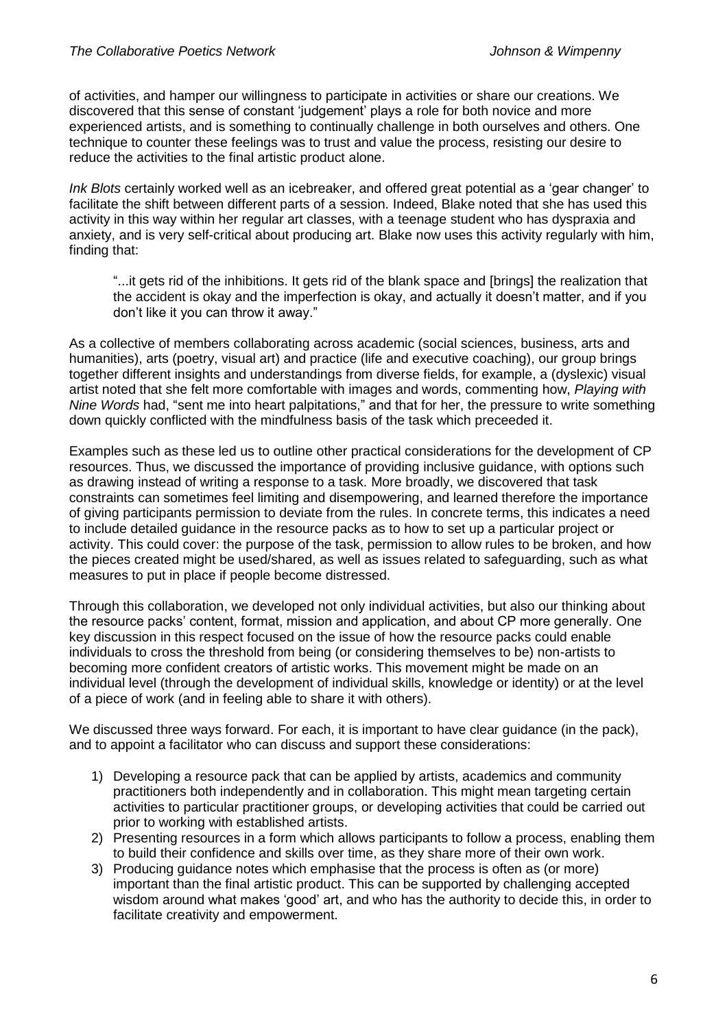of activities, and hamper our willingness to participate in activities or share our creations. We discovered that this sense of constant 'judgement' plays a role for both novice and more experienced artists, and is something to continually challenge in both ourselves and others. One technique to counter these feelings was to trust and value the process, resisting our desire to reduce the activities to the final artistic product alone.

*Ink Blots* certainly worked well as an icebreaker, and offered great potential as a 'gear changer' to facilitate the shift between different parts of a session. Indeed, Blake noted that she has used this activity in this way within her regular art classes, with a teenage student who has dyspraxia and anxiety, and is very self-critical about producing art. Blake now uses this activity regularly with him, finding that:

"...it gets rid of the inhibitions. It gets rid of the blank space and [brings] the realization that the accident is okay and the imperfection is okay, and actually it doesn't matter, and if you don't like it you can throw it away."

As a collective of members collaborating across academic (social sciences, business, arts and humanities), arts (poetry, visual art) and practice (life and executive coaching), our group brings together different insights and understandings from diverse fields, for example, a (dyslexic) visual artist noted that she felt more comfortable with images and words, commenting how, *Playing with Nine Words* had, "sent me into heart palpitations," and that for her, the pressure to write something down quickly conflicted with the mindfulness basis of the task which preceeded it.

Examples such as these led us to outline other practical considerations for the development of CP resources. Thus, we discussed the importance of providing inclusive guidance, with options such as drawing instead of writing a response to a task. More broadly, we discovered that task constraints can sometimes feel limiting and disempowering, and learned therefore the importance of giving participants permission to deviate from the rules. In concrete terms, this indicates a need to include detailed guidance in the resource packs as to how to set up a particular project or activity. This could cover: the purpose of the task, permission to allow rules to be broken, and how the pieces created might be used/shared, as well as issues related to safeguarding, such as what measures to put in place if people become distressed.

Through this collaboration, we developed not only individual activities, but also our thinking about the resource packs' content, format, mission and application, and about CP more generally. One key discussion in this respect focused on the issue of how the resource packs could enable individuals to cross the threshold from being (or considering themselves to be) non-artists to becoming more confident creators of artistic works. This movement might be made on an individual level (through the development of individual skills, knowledge or identity) or at the level of a piece of work (and in feeling able to share it with others).

We discussed three ways forward. For each, it is important to have clear guidance (in the pack), and to appoint a facilitator who can discuss and support these considerations:

- 1) Developing a resource pack that can be applied by artists, academics and community practitioners both independently and in collaboration. This might mean targeting certain activities to particular practitioner groups, or developing activities that could be carried out prior to working with established artists.
- 2) Presenting resources in a form which allows participants to follow a process, enabling them to build their confidence and skills over time, as they share more of their own work.
- 3) Producing guidance notes which emphasise that the process is often as (or more) important than the final artistic product. This can be supported by challenging accepted wisdom around what makes 'good' art, and who has the authority to decide this, in order to facilitate creativity and empowerment.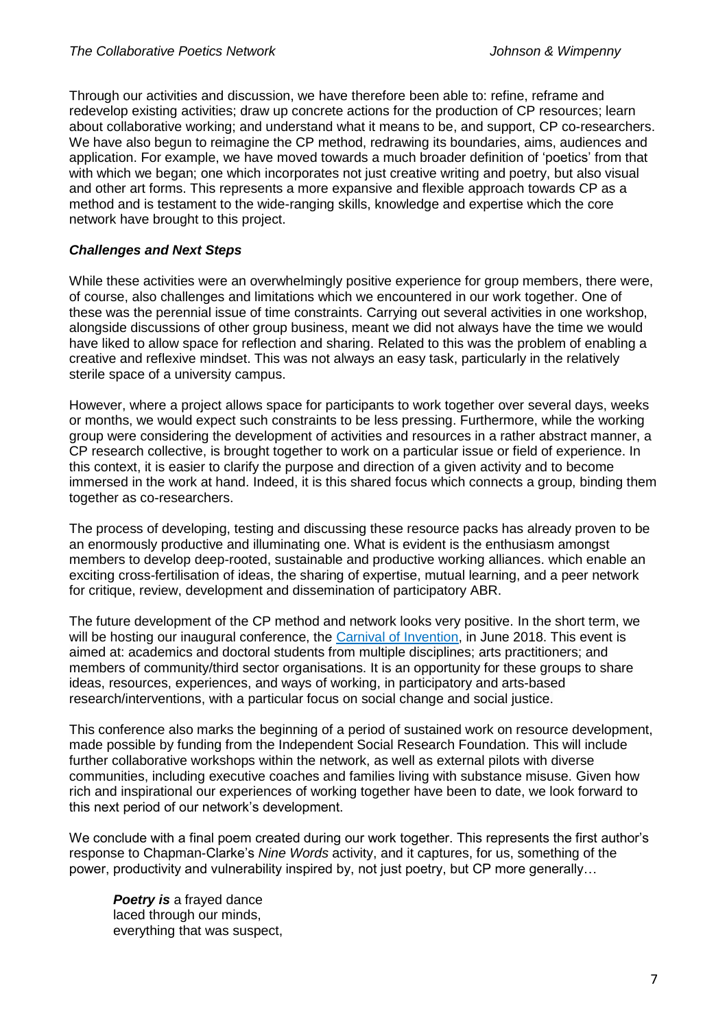Through our activities and discussion, we have therefore been able to: refine, reframe and redevelop existing activities; draw up concrete actions for the production of CP resources; learn about collaborative working; and understand what it means to be, and support, CP co-researchers. We have also begun to reimagine the CP method, redrawing its boundaries, aims, audiences and application. For example, we have moved towards a much broader definition of 'poetics' from that with which we began; one which incorporates not just creative writing and poetry, but also visual and other art forms. This represents a more expansive and flexible approach towards CP as a method and is testament to the wide-ranging skills, knowledge and expertise which the core network have brought to this project.

### *Challenges and Next Steps*

While these activities were an overwhelmingly positive experience for group members, there were, of course, also challenges and limitations which we encountered in our work together. One of these was the perennial issue of time constraints. Carrying out several activities in one workshop, alongside discussions of other group business, meant we did not always have the time we would have liked to allow space for reflection and sharing. Related to this was the problem of enabling a creative and reflexive mindset. This was not always an easy task, particularly in the relatively sterile space of a university campus.

However, where a project allows space for participants to work together over several days, weeks or months, we would expect such constraints to be less pressing. Furthermore, while the working group were considering the development of activities and resources in a rather abstract manner, a CP research collective, is brought together to work on a particular issue or field of experience. In this context, it is easier to clarify the purpose and direction of a given activity and to become immersed in the work at hand. Indeed, it is this shared focus which connects a group, binding them together as co-researchers.

The process of developing, testing and discussing these resource packs has already proven to be an enormously productive and illuminating one. What is evident is the enthusiasm amongst members to develop deep-rooted, sustainable and productive working alliances. which enable an exciting cross-fertilisation of ideas, the sharing of expertise, mutual learning, and a peer network for critique, review, development and dissemination of participatory ABR.

The future development of the CP method and network looks very positive. In the short term, we will be hosting our inaugural conference, the [Carnival of Invention,](https://blogs.brighton.ac.uk/carnivalofinvention/) in June 2018. This event is aimed at: academics and doctoral students from multiple disciplines; arts practitioners; and members of community/third sector organisations. It is an opportunity for these groups to share ideas, resources, experiences, and ways of working, in participatory and arts-based research/interventions, with a particular focus on social change and social justice.

This conference also marks the beginning of a period of sustained work on resource development, made possible by funding from the Independent Social Research Foundation. This will include further collaborative workshops within the network, as well as external pilots with diverse communities, including executive coaches and families living with substance misuse. Given how rich and inspirational our experiences of working together have been to date, we look forward to this next period of our network's development.

We conclude with a final poem created during our work together. This represents the first author's response to Chapman-Clarke's *Nine Words* activity, and it captures, for us, something of the power, productivity and vulnerability inspired by, not just poetry, but CP more generally…

*Poetry is a frayed dance* laced through our minds, everything that was suspect,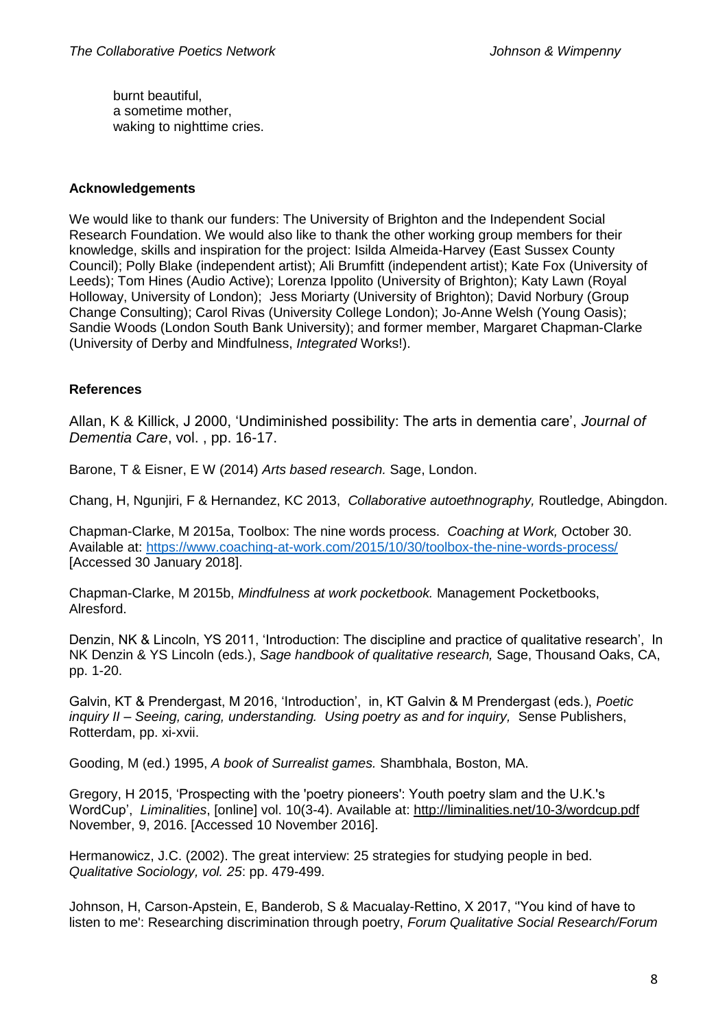burnt beautiful, a sometime mother, waking to nighttime cries.

### **Acknowledgements**

We would like to thank our funders: The University of Brighton and the Independent Social Research Foundation. We would also like to thank the other working group members for their knowledge, skills and inspiration for the project: Isilda Almeida-Harvey (East Sussex County Council); Polly Blake (independent artist); Ali Brumfitt (independent artist); Kate Fox (University of Leeds); Tom Hines (Audio Active); Lorenza Ippolito (University of Brighton); Katy Lawn (Royal Holloway, University of London); Jess Moriarty (University of Brighton); David Norbury (Group Change Consulting); Carol Rivas (University College London); Jo-Anne Welsh (Young Oasis); Sandie Woods (London South Bank University); and former member, Margaret Chapman-Clarke (University of Derby and Mindfulness, *Integrated* Works!).

## **References**

Allan, K & Killick, J 2000, 'Undiminished possibility: The arts in dementia care', *Journal of Dementia Care*, vol. , pp. 16-17.

Barone, T & Eisner, E W (2014) *Arts based research.* Sage, London.

Chang, H, Ngunjiri, F & Hernandez, KC 2013, *Collaborative autoethnography,* Routledge, Abingdon.

Chapman-Clarke, M 2015a, Toolbox: The nine words process. *Coaching at Work,* October 30. Available at:<https://www.coaching-at-work.com/2015/10/30/toolbox-the-nine-words-process/> [Accessed 30 January 2018].

Chapman-Clarke, M 2015b, *Mindfulness at work pocketbook.* Management Pocketbooks, Alresford.

Denzin, NK & Lincoln, YS 2011, 'Introduction: The discipline and practice of qualitative research', In NK Denzin & YS Lincoln (eds.), *Sage handbook of qualitative research,* Sage, Thousand Oaks, CA, pp. 1-20.

Galvin, KT & Prendergast, M 2016, 'Introduction', in, KT Galvin & M Prendergast (eds.), *Poetic inquiry II – Seeing, caring, understanding. Using poetry as and for inquiry,* Sense Publishers, Rotterdam, pp. xi-xvii.

Gooding, M (ed.) 1995, *A book of Surrealist games.* Shambhala, Boston, MA.

Gregory, H 2015, 'Prospecting with the 'poetry pioneers': Youth poetry slam and the U.K.'s WordCup', *Liminalities*, [online] vol. 10(3-4). Available at:<http://liminalities.net/10-3/wordcup.pdf> November, 9, 2016. [Accessed 10 November 2016].

Hermanowicz, J.C. (2002). The great interview: 25 strategies for studying people in bed. *Qualitative Sociology, vol. 25*: pp. 479-499.

Johnson, H, Carson-Apstein, E, Banderob, S & Macualay-Rettino, X 2017, ''You kind of have to listen to me': Researching discrimination through poetry, *Forum Qualitative Social Research/Forum*